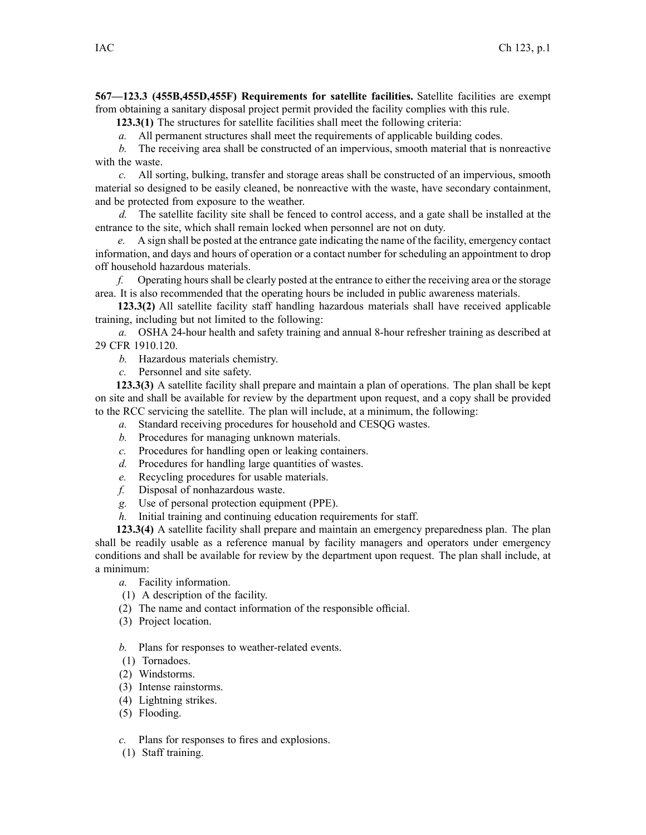**567—123.3 (455B,455D,455F) Requirements for satellite facilities.** Satellite facilities are exemp<sup>t</sup> from obtaining <sup>a</sup> sanitary disposal project permit provided the facility complies with this rule.

**123.3(1)** The structures for satellite facilities shall meet the following criteria:

*a.* All permanen<sup>t</sup> structures shall meet the requirements of applicable building codes.

*b.* The receiving area shall be constructed of an impervious, smooth material that is nonreactive with the waste.

*c.* All sorting, bulking, transfer and storage areas shall be constructed of an impervious, smooth material so designed to be easily cleaned, be nonreactive with the waste, have secondary containment, and be protected from exposure to the weather.

*d.* The satellite facility site shall be fenced to control access, and <sup>a</sup> gate shall be installed at the entrance to the site, which shall remain locked when personnel are not on duty.

*e.* A sign shall be posted at the entrance gate indicating the name of the facility, emergency contact information, and days and hours of operation or <sup>a</sup> contact number for scheduling an appointment to drop off household hazardous materials.

*f.* Operating hours shall be clearly posted at the entrance to either the receiving area or the storage area. It is also recommended that the operating hours be included in public awareness materials.

**123.3(2)** All satellite facility staff handling hazardous materials shall have received applicable training, including but not limited to the following:

*a.* OSHA 24-hour health and safety training and annual 8-hour refresher training as described at 29 CFR 1910.120.

*b.* Hazardous materials chemistry.

*c.* Personnel and site safety.

**123.3(3)** A satellite facility shall prepare and maintain <sup>a</sup> plan of operations. The plan shall be kept on site and shall be available for review by the department upon request, and <sup>a</sup> copy shall be provided to the RCC servicing the satellite. The plan will include, at <sup>a</sup> minimum, the following:

- *a.* Standard receiving procedures for household and CESQG wastes.
- *b.* Procedures for managing unknown materials.
- *c.* Procedures for handling open or leaking containers.
- *d.* Procedures for handling large quantities of wastes.
- *e.* Recycling procedures for usable materials.
- *f.* Disposal of nonhazardous waste.
- *g.* Use of personal protection equipment (PPE).
- *h.* Initial training and continuing education requirements for staff.

**123.3(4)** A satellite facility shall prepare and maintain an emergency preparedness plan. The plan shall be readily usable as <sup>a</sup> reference manual by facility managers and operators under emergency conditions and shall be available for review by the department upon request. The plan shall include, at <sup>a</sup> minimum:

- *a.* Facility information.
- (1) A description of the facility.
- (2) The name and contact information of the responsible official.
- (3) Project location.

*b.* Plans for responses to weather-related events.

- (1) Tornadoes.
- (2) Windstorms.
- (3) Intense rainstorms.
- (4) Lightning strikes.
- (5) Flooding.
- *c.* Plans for responses to fires and explosions.
- (1) Staff training.